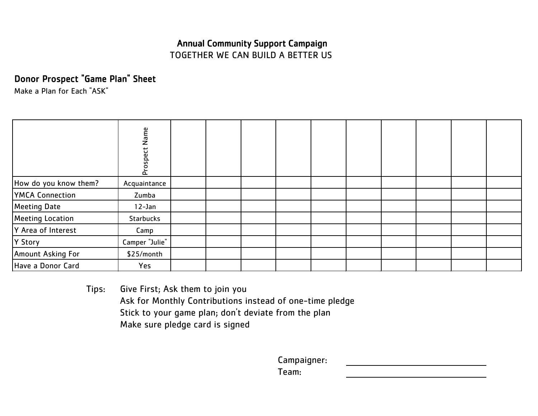# Annual Community Support Campaign TOGETHER WE CAN BUILD A BETTER US

Donor Prospect "Game Plan" Sheet

Make a Plan for Each "ASK"

|                        | Name<br>Prospect |  |  |  |  |  |
|------------------------|------------------|--|--|--|--|--|
| How do you know them?  | Acquaintance     |  |  |  |  |  |
| <b>YMCA Connection</b> | Zumba            |  |  |  |  |  |
| Meeting Date           | $12$ -Jan        |  |  |  |  |  |
| Meeting Location       | <b>Starbucks</b> |  |  |  |  |  |
| Y Area of Interest     | Camp             |  |  |  |  |  |
| Y Story                | Camper "Julie"   |  |  |  |  |  |
| Amount Asking For      | \$25/month       |  |  |  |  |  |
| Have a Donor Card      | Yes              |  |  |  |  |  |

Tips: Give First; Ask them to join you Ask for Monthly Contributions instead of one-time pledge Stick to your game plan; don't deviate from the plan Make sure pledge card is signed

Campaigner:

Team: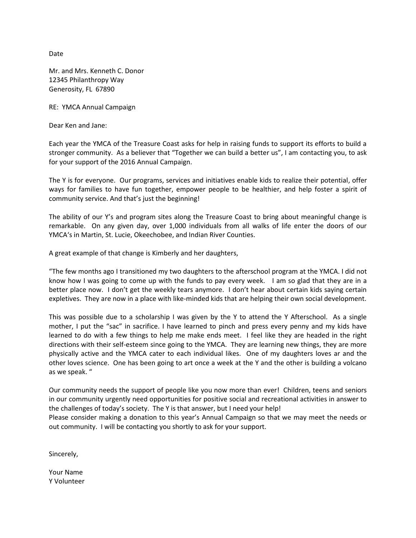Date

Mr. and Mrs. Kenneth C. Donor 12345 Philanthropy Way Generosity, FL 67890

RE: YMCA Annual Campaign

Dear Ken and Jane:

Each year the YMCA of the Treasure Coast asks for help in raising funds to support its efforts to build a stronger community. As a believer that "Together we can build a better us", I am contacting you, to ask for your support of the 2016 Annual Campaign.

The Y is for everyone. Our programs, services and initiatives enable kids to realize their potential, offer ways for families to have fun together, empower people to be healthier, and help foster a spirit of community service. And that's just the beginning!

The ability of our Y's and program sites along the Treasure Coast to bring about meaningful change is remarkable. On any given day, over 1,000 individuals from all walks of life enter the doors of our YMCA's in Martin, St. Lucie, Okeechobee, and Indian River Counties.

A great example of that change is Kimberly and her daughters,

"The few months ago I transitioned my two daughters to the afterschool program at the YMCA. I did not know how I was going to come up with the funds to pay every week. I am so glad that they are in a better place now. I don't get the weekly tears anymore. I don't hear about certain kids saying certain expletives. They are now in a place with like-minded kids that are helping their own social development.

This was possible due to a scholarship I was given by the Y to attend the Y Afterschool. As a single mother, I put the "sac" in sacrifice. I have learned to pinch and press every penny and my kids have learned to do with a few things to help me make ends meet. I feel like they are headed in the right directions with their self-esteem since going to the YMCA. They are learning new things, they are more physically active and the YMCA cater to each individual likes. One of my daughters loves ar and the other loves science. One has been going to art once a week at the Y and the other is building a volcano as we speak. "

Our community needs the support of people like you now more than ever! Children, teens and seniors in our community urgently need opportunities for positive social and recreational activities in answer to the challenges of today's society. The Y is that answer, but I need your help!

Please consider making a donation to this year's Annual Campaign so that we may meet the needs or out community. I will be contacting you shortly to ask for your support.

Sincerely,

Your Name Y Volunteer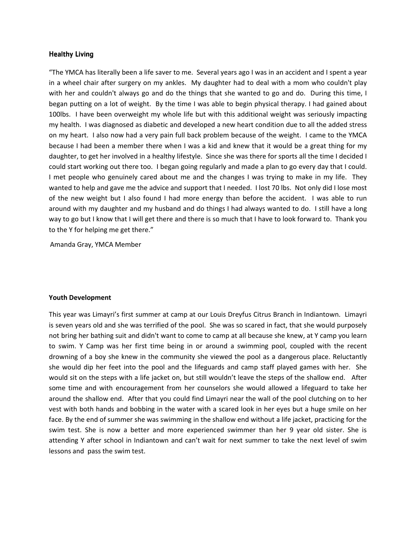#### Healthy Living

"The YMCA has literally been a life saver to me. Several years ago I was in an accident and I spent a year in a wheel chair after surgery on my ankles. My daughter had to deal with a mom who couldn't play with her and couldn't always go and do the things that she wanted to go and do. During this time, I began putting on a lot of weight. By the time I was able to begin physical therapy. I had gained about 100lbs. I have been overweight my whole life but with this additional weight was seriously impacting my health. I was diagnosed as diabetic and developed a new heart condition due to all the added stress on my heart. I also now had a very pain full back problem because of the weight. I came to the YMCA because I had been a member there when I was a kid and knew that it would be a great thing for my daughter, to get her involved in a healthy lifestyle. Since she was there for sports all the time I decided I could start working out there too. I began going regularly and made a plan to go every day that I could. I met people who genuinely cared about me and the changes I was trying to make in my life. They wanted to help and gave me the advice and support that I needed. I lost 70 lbs. Not only did I lose most of the new weight but I also found I had more energy than before the accident. I was able to run around with my daughter and my husband and do things I had always wanted to do. I still have a long way to go but I know that I will get there and there is so much that I have to look forward to. Thank you to the Y for helping me get there."

Amanda Gray, YMCA Member

#### **Youth Development**

This year was Limayri's first summer at camp at our Louis Dreyfus Citrus Branch in Indiantown. Limayri is seven years old and she was terrified of the pool. She was so scared in fact, that she would purposely not bring her bathing suit and didn't want to come to camp at all because she knew, at Y camp you learn to swim. Y Camp was her first time being in or around a swimming pool, coupled with the recent drowning of a boy she knew in the community she viewed the pool as a dangerous place. Reluctantly she would dip her feet into the pool and the lifeguards and camp staff played games with her. She would sit on the steps with a life jacket on, but still wouldn't leave the steps of the shallow end. After some time and with encouragement from her counselors she would allowed a lifeguard to take her around the shallow end. After that you could find Limayri near the wall of the pool clutching on to her vest with both hands and bobbing in the water with a scared look in her eyes but a huge smile on her face. By the end of summer she was swimming in the shallow end without a life jacket, practicing for the swim test. She is now a better and more experienced swimmer than her 9 year old sister. She is attending Y after school in Indiantown and can't wait for next summer to take the next level of swim lessons and pass the swim test.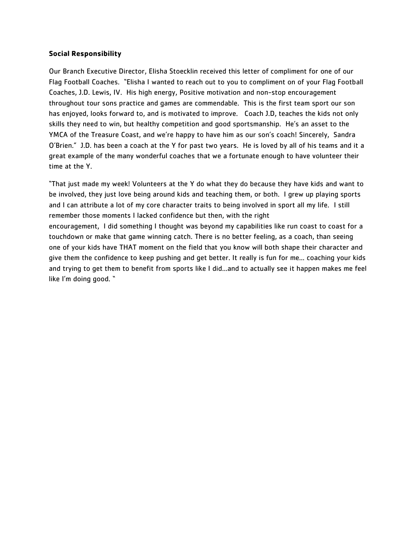#### **Social Responsibility**

Our Branch Executive Director, Elisha Stoecklin received this letter of compliment for one of our Flag Football Coaches. "Elisha I wanted to reach out to you to compliment on of your Flag Football Coaches, J.D. Lewis, IV. His high energy, Positive motivation and non-stop encouragement throughout tour sons practice and games are commendable. This is the first team sport our son has enjoyed, looks forward to, and is motivated to improve. Coach J.D, teaches the kids not only skills they need to win, but healthy competition and good sportsmanship. He's an asset to the YMCA of the Treasure Coast, and we're happy to have him as our son's coach! Sincerely, Sandra O'Brien." J.D. has been a coach at the Y for past two years. He is loved by all of his teams and it a great example of the many wonderful coaches that we a fortunate enough to have volunteer their time at the Y.

"That just made my week! Volunteers at the Y do what they do because they have kids and want to be involved, they just love being around kids and teaching them, or both. I grew up playing sports and I can attribute a lot of my core character traits to being involved in sport all my life. I still remember those moments I lacked confidence but then, with the right encouragement, I did something I thought was beyond my capabilities like run coast to coast for a touchdown or make that game winning catch. There is no better feeling, as a coach, than seeing one of your kids have THAT moment on the field that you know will both shape their character and give them the confidence to keep pushing and get better. It really is fun for me... coaching your kids and trying to get them to benefit from sports like I did...and to actually see it happen makes me feel like I'm doing good. "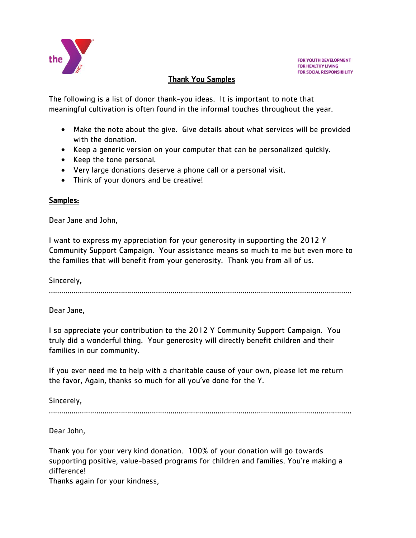

## Thank You Samples

The following is a list of donor thank-you ideas. It is important to note that meaningful cultivation is often found in the informal touches throughout the year.

- Make the note about the give. Give details about what services will be provided with the donation.
- Keep a generic version on your computer that can be personalized quickly.
- Keep the tone personal.
- Very large donations deserve a phone call or a personal visit.
- Think of your donors and be creative!

### Samples:

Dear Jane and John,

I want to express my appreciation for your generosity in supporting the 2012 Y Community Support Campaign. Your assistance means so much to me but even more to the families that will benefit from your generosity. Thank you from all of us.

Sincerely,

…………………………………………………………………………………………………………………………………

Dear Jane,

I so appreciate your contribution to the 2012 Y Community Support Campaign. You truly did a wonderful thing. Your generosity will directly benefit children and their families in our community.

If you ever need me to help with a charitable cause of your own, please let me return the favor, Again, thanks so much for all you've done for the Y.

Sincerely,

…………………………………………………………………………………………………………………………………

Dear John,

Thank you for your very kind donation. 100% of your donation will go towards supporting positive, value-based programs for children and families. You're making a difference!

Thanks again for your kindness,